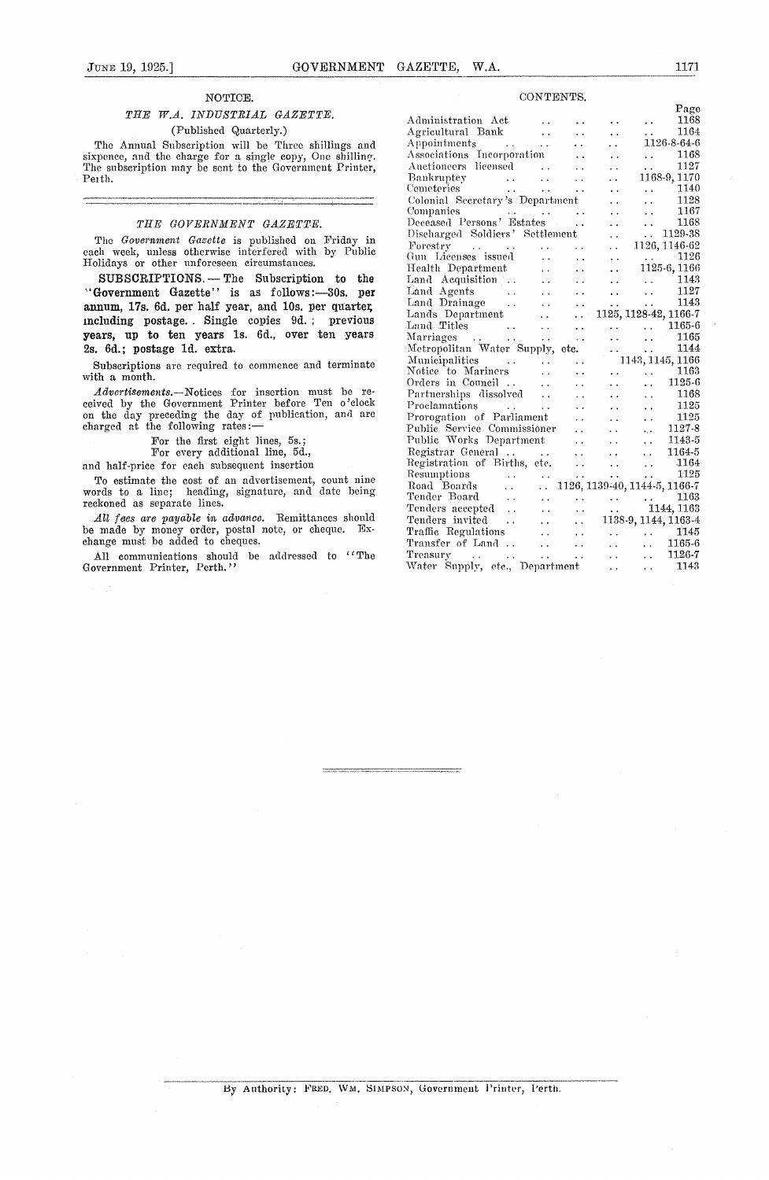#### *NOTICE.*

#### *THE W.A. INDUSTRIAL GAZETTE.* (Published Quarterly.)

The Annual Subscription will be Three shillings and sixpence, and the charge for a single copy, One shilling The subscription may be sent to the Government Printer, Pexth.

#### *THE GOVERNMENT GAZETTE.*

The *Government Gazette is* published on Friday in each week, unless otherwise interfered with by Public Holidays or other unforeseen circumstances.

SUBSCRIPTIONS. - The Subscription to the "Government Gazette" is as follows:-30s. per annum, 17s. 6d. per half year, and 10s. per quarter, including postage. . Single copies 9d. ; previous years, up **to ten** years is. 6d., over ten years 2s. 6d.; postage id. extra.

Subscriptions are required to commence and terminate with a month.

*Advertisements.—Notices* for insertion must be received by the Government Printer before Ten o'clock on the day preceding the day of publication, and are charged at the following rates: Altertation and the covernment Printer before Ten o'clock<br>the day preceding the day of publication, and are<br>arged at the following rates:—<br>For the first eight lines, 5s.;<br>For every additional line, 5d.,<br>d half-price for ea

For the first eight lines, 5s.

For every additional line, 5d.,

and half-price for each subsequent insertion

To estimate the cost of an advertisement, count nine words to a line; heading, signature, and date being reckoned as separate lines.

*All foes are payable in advance.* Remittances should be made by money order, postal note, or cheque. Exchange must be added to cheques.

All communications should be addressed to "The Government Printer, Perth."

#### CONTENTS.

|                                                                                                                                                                                                                                                                |                      |                      |                      |                                                                | Page                          |
|----------------------------------------------------------------------------------------------------------------------------------------------------------------------------------------------------------------------------------------------------------------|----------------------|----------------------|----------------------|----------------------------------------------------------------|-------------------------------|
| Administration Act-                                                                                                                                                                                                                                            |                      |                      |                      | . .                                                            | 1168                          |
| Agricultural Bank                                                                                                                                                                                                                                              | $\sim 10^{-1}$       |                      | . .                  | $\ddot{\phantom{0}}$                                           | 1164                          |
| الفاعدة المتعارف<br>Appointments                                                                                                                                                                                                                               |                      | . .                  | ٠.                   |                                                                | 1126-8-64-6                   |
| Associations Incorporation                                                                                                                                                                                                                                     |                      |                      | . .                  | $\ddot{\phantom{0}}$                                           | 1168                          |
| Auctioneers licensed                                                                                                                                                                                                                                           | $\ddot{\phantom{a}}$ |                      | $\ddot{\phantom{0}}$ | $\ddot{\phantom{0}}$                                           | 1127                          |
| Bankruptey                                                                                                                                                                                                                                                     | $\ddot{\phantom{a}}$ |                      | . .                  |                                                                | 1168-9, 1170                  |
| $\label{eq:2} \begin{array}{l} \mathcal{L}_{\mathcal{A}}(\mathcal{A})=\mathcal{L}_{\mathcal{A}}(\mathcal{A})\\ \mathcal{L}_{\mathcal{A}}(\mathcal{A})=\mathcal{L}_{\mathcal{A}}(\mathcal{A}) \end{array}$<br>Cemeteries<br>$\Delta$ and $\Delta$ is the space. |                      | $\ddot{\phantom{a}}$ |                      | $\ddot{\phantom{0}}$                                           | 1140                          |
| Colonial Secretary's Department                                                                                                                                                                                                                                |                      |                      | . .                  | $\ddot{\phantom{a}}$                                           | 1128                          |
| Companies                                                                                                                                                                                                                                                      |                      | فتقادم وقلوليت المقط | . .                  | $\ddot{\phantom{1}}$                                           | 1167                          |
| Deceased Persons' Estates                                                                                                                                                                                                                                      |                      | $\ddot{\phantom{0}}$ | . .                  | $\ddot{\phantom{0}}$                                           | 1168                          |
| Discharged Soldiers' Settlement                                                                                                                                                                                                                                |                      |                      | . .                  | $\ddotsc$                                                      | 1129-38                       |
| Forestry<br>$\mathcal{L}^{\mathcal{L}}$ , and $\mathcal{L}^{\mathcal{L}}$ , and $\mathcal{L}^{\mathcal{L}}$ , and $\mathcal{L}^{\mathcal{L}}$                                                                                                                  |                      |                      | $\ddot{\phantom{0}}$ |                                                                | 1126, 1146-62                 |
| Gun Licenses issued                                                                                                                                                                                                                                            | $\ddot{\phantom{0}}$ | $\ddot{\phantom{0}}$ | $\sim$ $\sim$        | <b>Contractor</b>                                              | 1126                          |
| Health Department                                                                                                                                                                                                                                              | $\ddot{\phantom{0}}$ |                      | $\ddotsc$            |                                                                | 1125-6, 1166                  |
| Land Acquisition                                                                                                                                                                                                                                               | $\ddot{\phantom{0}}$ |                      | in a                 | $\ddot{\phantom{a}}$                                           | 1143                          |
| Land Agents<br>$\alpha$ and $\alpha$ and $\alpha$                                                                                                                                                                                                              |                      |                      |                      | $\ddot{\phantom{a}}$                                           | 1127                          |
| Land Drainage                                                                                                                                                                                                                                                  |                      |                      | $\ddot{\phantom{0}}$ | $\sim$                                                         | 1143                          |
| Lands Department                                                                                                                                                                                                                                               |                      | μ.                   |                      |                                                                | 1125, 1128-42, 1166-7         |
| Land Titles<br><b>Contract Contract</b>                                                                                                                                                                                                                        | $\ddot{\phantom{0}}$ |                      |                      | a a chuid anns                                                 | 1165-6                        |
| Marriages<br>$\sim$ $\sim$                                                                                                                                                                                                                                     | . .                  | $\ddotsc$            | $\ddot{\phantom{0}}$ | $\ddot{\phantom{a}}$                                           | 1165                          |
| Metropolitan Water Supply, etc.                                                                                                                                                                                                                                |                      |                      |                      | $\mathbf{L}$ . The set of $\mathbf{L}$<br>$\ddot{\phantom{a}}$ | 1144                          |
| Municipalities<br>$\sim 100$ km $^{-2}$                                                                                                                                                                                                                        |                      | $\ddot{\phantom{0}}$ |                      |                                                                | 1143, 1145, 1166              |
| Notice to Mariners                                                                                                                                                                                                                                             | $\ddot{\phantom{0}}$ |                      |                      |                                                                | 1163                          |
| Orders in Council                                                                                                                                                                                                                                              |                      |                      |                      |                                                                | 1125-6                        |
| Partnerships dissolved                                                                                                                                                                                                                                         | $\ddot{\phantom{a}}$ |                      | $\ddot{\phantom{0}}$ | $\ddot{\phantom{a}}$                                           | 1168                          |
| Proclamations<br><b>Contractor</b>                                                                                                                                                                                                                             | $\ddot{\phantom{a}}$ |                      | v.                   | $\ddot{\phantom{0}}$                                           | 1125                          |
| Prorogation of Parliament                                                                                                                                                                                                                                      |                      | . .                  | $\ddot{\phantom{0}}$ | $\ddot{\phantom{0}}$                                           | 1125                          |
| Public Service Commissioner                                                                                                                                                                                                                                    |                      | . .                  | $\ddot{\phantom{0}}$ | ٠.٠                                                            | 1127-8                        |
| Public Works Department                                                                                                                                                                                                                                        |                      | $\ddot{\phantom{0}}$ |                      | . .                                                            | 1143-5                        |
| Registrar General                                                                                                                                                                                                                                              | <b>Contractor</b>    | $\ddot{\phantom{0}}$ | $\ddot{\phantom{0}}$ | $\ddot{\phantom{a}}$                                           | 1164-5                        |
| Registration of Births, etc.                                                                                                                                                                                                                                   |                      | $\ddot{\phantom{a}}$ | i.                   | $\ddotsc$                                                      | 1164                          |
| Resumptions<br><b>Contract</b>                                                                                                                                                                                                                                 | $\ddot{\phantom{0}}$ |                      | $\ddot{\phantom{0}}$ | $\ddot{\phantom{0}}$                                           | 1125                          |
| Road Boards<br>$\sim 10^{-1}$                                                                                                                                                                                                                                  | a an                 |                      |                      |                                                                | 1126, 1139-40, 1144-5, 1166-7 |
| Tender Board                                                                                                                                                                                                                                                   | $\ddot{\phantom{0}}$ |                      |                      |                                                                | 1163                          |
| Tender Board<br>Tenders accepted<br>Tenders invited                                                                                                                                                                                                            | $\ddot{\phantom{0}}$ | Ω.                   | een<br>een           |                                                                | $-1144, 1163$                 |
|                                                                                                                                                                                                                                                                | $\ddotsc$            | . .                  |                      |                                                                | 1138-9, 1144, 1163-4          |
| Traffic Regulations                                                                                                                                                                                                                                            | $\ddot{\phantom{a}}$ |                      |                      | $\mathcal{L}(\mathbf{r})$ .                                    | 1145                          |
| Transfer of Land                                                                                                                                                                                                                                               | $\ddot{\phantom{a}}$ | $\ddot{\phantom{1}}$ |                      |                                                                | 1165-6                        |
| Treasury<br>$\mathcal{O}(\mathcal{A}(\mathbf{x}))$ . The set of $\mathcal{O}(\mathcal{A}(\mathbf{x}))$                                                                                                                                                         | $\ddot{\phantom{0}}$ | $\ddot{\phantom{0}}$ | . .                  | a a con                                                        | 1126-7                        |
| Water Supply, etc., Department                                                                                                                                                                                                                                 |                      |                      |                      | . .                                                            | 1143                          |